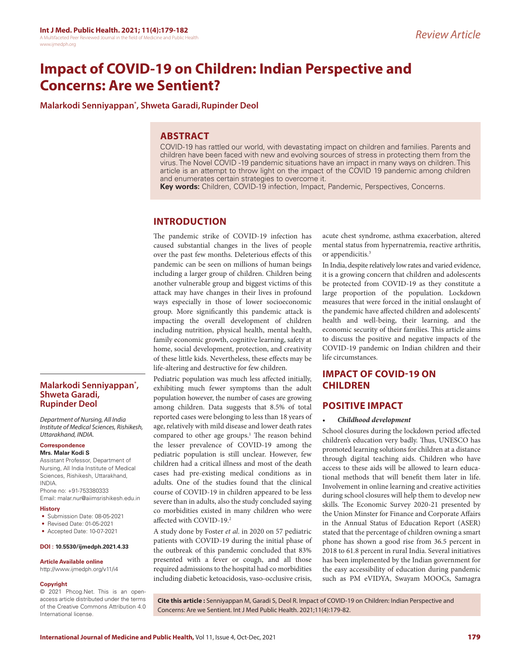# **Impact of COVID-19 on Children: Indian Perspective and Concerns: Are we Sentient?**

**Malarkodi Senniyappan\* , Shweta Garadi,Rupinder Deol**

## **ABSTRACT**

COVID-19 has rattled our world, with devastating impact on children and families. Parents and children have been faced with new and evolving sources of stress in protecting them from the virus. The Novel COVID -19 pandemic situations have an impact in many ways on children. This article is an attempt to throw light on the impact of the COVID 19 pandemic among children and enumerates certain strategies to overcome it.

**Key words:** Children, COVID-19 infection, Impact, Pandemic, Perspectives, Concerns.

## **INTRODUCTION**

The pandemic strike of COVID-19 infection has caused substantial changes in the lives of people over the past few months. Deleterious effects of this pandemic can be seen on millions of human beings including a larger group of children. Children being another vulnerable group and biggest victims of this attack may have changes in their lives in profound ways especially in those of lower socioeconomic group. More significantly this pandemic attack is impacting the overall development of children including nutrition, physical health, mental health, family economic growth, cognitive learning, safety at home, social development, protection, and creativity of these little kids. Nevertheless, these effects may be life-altering and destructive for few children.

Pediatric population was much less affected initially, exhibiting much fewer symptoms than the adult population however, the number of cases are growing among children. Data suggests that 8.5% of total reported cases were belonging to less than 18 years of age, relatively with mild disease and lower death rates compared to other age groups.<sup>1</sup> The reason behind the lesser prevalence of COVID-19 among the pediatric population is still unclear. However, few children had a critical illness and most of the death cases had pre-existing medical conditions as in adults. One of the studies found that the clinical course of COVID-19 in children appeared to be less severe than in adults, also the study concluded saying co morbidities existed in many children who were affected with COVID-19.2

A study done by Foster *et al*. in 2020 on 57 pediatric patients with COVID-19 during the initial phase of the outbreak of this pandemic concluded that 83% presented with a fever or cough, and all those required admissions to the hospital had co morbidities including diabetic ketoacidosis, vaso-occlusive crisis,

acute chest syndrome, asthma exacerbation, altered mental status from hypernatremia, reactive arthritis, or appendicitis.<sup>3</sup>

In India, despite relatively low rates and varied evidence, it is a growing concern that children and adolescents be protected from COVID-19 as they constitute a large proportion of the population. Lockdown measures that were forced in the initial onslaught of the pandemic have affected children and adolescents' health and well-being, their learning, and the economic security of their families. This article aims to discuss the positive and negative impacts of the COVID-19 pandemic on Indian children and their life circumstances.

## **IMPACT OF COVID-19 ON CHILDREN**

## **POSITIVE IMPACT**

#### • *Childhood development*

School closures during the lockdown period affected children's education very badly. Thus, UNESCO has promoted learning solutions for children at a distance through digital teaching aids. Children who have access to these aids will be allowed to learn educational methods that will benefit them later in life. Involvement in online learning and creative activities during school closures will help them to develop new skills. The Economic Survey 2020-21 presented by the Union Minster for Finance and Corporate Affairs in the Annual Status of Education Report (ASER) stated that the percentage of children owning a smart phone has shown a good rise from 36.5 percent in 2018 to 61.8 percent in rural India. Several initiatives has been implemented by the Indian government for the easy accessibility of education during pandemic such as PM eVIDYA, Swayam MOOCs, Samagra

## **Malarkodi Senniyappan\* , Shweta Garadi, Rupinder Deol**

*Department of Nursing, All India Institute of Medical Sciences, Rishikesh, Uttarakhand, INDIA.*

## **Correspondence**

**Mrs. Malar Kodi S** Assistant Professor, Department of Nursing, All India Institute of Medical Sciences, Rishikesh, Uttarakhand, INDIA. Phone no: +91-753380333

Email: malar.nur@aiimsrishikesh.edu.in

#### **History**

- Submission Date: 08-05-2021
- Revised Date: 01-05-2021
- Accepted Date: 10-07-2021

#### **DOI : 10.5530/ijmedph.2021.4.33**

#### **Article Available online**

http://www.ijmedph.org/v11/i4

#### **Copyright**

© 2021 Phcog.Net. This is an openaccess article distributed under the terms of the Creative Commons Attribution 4.0 International license.

**Cite this article :** Senniyappan M, Garadi S, Deol R. Impact of COVID-19 on Children: Indian Perspective and Concerns: Are we Sentient. Int J Med Public Health. 2021;11(4):179-82.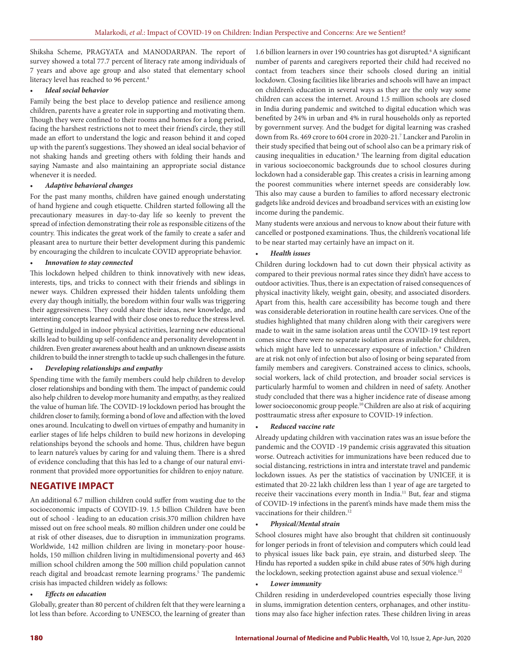Shiksha Scheme, PRAGYATA and MANODARPAN. The report of survey showed a total 77.7 percent of literacy rate among individuals of 7 years and above age group and also stated that elementary school literacy level has reached to 96 percent.<sup>4</sup>

#### • *Ideal social behavior*

Family being the best place to develop patience and resilience among children, parents have a greater role in supporting and motivating them. Though they were confined to their rooms and homes for a long period, facing the harshest restrictions not to meet their friend's circle, they still made an effort to understand the logic and reason behind it and coped up with the parent's suggestions. They showed an ideal social behavior of not shaking hands and greeting others with folding their hands and saying Namaste and also maintaining an appropriate social distance whenever it is needed.

#### • *Adaptive behavioral changes*

For the past many months, children have gained enough understating of hand hygiene and cough etiquette. Children started following all the precautionary measures in day-to-day life so keenly to prevent the spread of infection demonstrating their role as responsible citizens of the country. This indicates the great work of the family to create a safer and pleasant area to nurture their better development during this pandemic by encouraging the children to inculcate COVID appropriate behavior.

#### • *Innovation to stay connected*

This lockdown helped children to think innovatively with new ideas, interests, tips, and tricks to connect with their friends and siblings in newer ways. Children expressed their hidden talents unfolding them every day though initially, the boredom within four walls was triggering their aggressiveness. They could share their ideas, new knowledge, and interesting concepts learned with their close ones to reduce the stress level. Getting indulged in indoor physical activities, learning new educational skills lead to building up self-confidence and personality development in children. Even greater awareness about health and an unknown disease assists children to build the inner strength to tackle up such challenges in the future.

#### • *Developing relationships and empathy*

Spending time with the family members could help children to develop closer relationships and bonding with them. The impact of pandemic could also help children to develop more humanity and empathy, as they realized the value of human life. The COVID-19 lockdown period has brought the children closer to family, forming a bond of love and affection with the loved ones around. Inculcating to dwell on virtues of empathy and humanity in earlier stages of life helps children to build new horizons in developing relationships beyond the schools and home. Thus, children have begun to learn nature's values by caring for and valuing them. There is a shred of evidence concluding that this has led to a change of our natural environment that provided more opportunities for children to enjoy nature.

## **NEGATIVE IMPACT**

An additional 6.7 million children could suffer from wasting due to the socioeconomic impacts of COVID-19. 1.5 billion Children have been out of school - leading to an education crisis.370 million children have missed out on free school meals. 80 million children under one could be at risk of other diseases, due to disruption in immunization programs. Worldwide, 142 million children are living in monetary-poor households, 150 million children living in multidimensional poverty and 463 million school children among the 500 million child population cannot reach digital and broadcast remote learning programs.<sup>5</sup> The pandemic crisis has impacted children widely as follows:

#### • *Effects on education*

Globally, greater than 80 percent of children felt that they were learning a lot less than before. According to UNESCO, the learning of greater than 1.6 billion learners in over 190 countries has got disrupted.<sup>6</sup> A significant number of parents and caregivers reported their child had received no contact from teachers since their schools closed during an initial lockdown. Closing facilities like libraries and schools will have an impact on children's education in several ways as they are the only way some children can access the internet. Around 1.5 million schools are closed in India during pandemic and switched to digital education which was benefited by 24% in urban and 4% in rural households only as reported by government survey. And the budget for digital learning was crashed down from Rs. 469 crore to 604 crore in 2020-21.7 Lancker and Parolin in their study specified that being out of school also can be a primary risk of causing inequalities in education.8 The learning from digital education in various socioeconomic backgrounds due to school closures during lockdown had a considerable gap. This creates a crisis in learning among the poorest communities where internet speeds are considerably low. This also may cause a burden to families to afford necessary electronic gadgets like android devices and broadband services with an existing low income during the pandemic.

Many students were anxious and nervous to know about their future with cancelled or postponed examinations. Thus, the children's vocational life to be near started may certainly have an impact on it.

#### • *Health issues*

Children during lockdown had to cut down their physical activity as compared to their previous normal rates since they didn't have access to outdoor activities. Thus, there is an expectation of raised consequences of physical inactivity likely, weight gain, obesity, and associated disorders. Apart from this, health care accessibility has become tough and there was considerable deterioration in routine health care services. One of the studies highlighted that many children along with their caregivers were made to wait in the same isolation areas until the COVID-19 test report comes since there were no separate isolation areas available for children, which might have led to unnecessary exposure of infection.<sup>9</sup> Children are at risk not only of infection but also of losing or being separated from family members and caregivers. Constrained access to clinics, schools, social workers, lack of child protection, and broader social services is particularly harmful to women and children in need of safety. Another study concluded that there was a higher incidence rate of disease among lower socioeconomic group people.10 Children are also at risk of acquiring posttraumatic stress after exposure to COVID-19 infection.

#### • *Reduced vaccine rate*

Already updating children with vaccination rates was an issue before the pandemic and the COVID -19 pandemic crisis aggravated this situation worse. Outreach activities for immunizations have been reduced due to social distancing, restrictions in intra and interstate travel and pandemic lockdown issues. As per the statistics of vaccination by UNICEF, it is estimated that 20-22 lakh children less than 1 year of age are targeted to receive their vaccinations every month in India.<sup>11</sup> But, fear and stigma of COVID-19 infections in the parent's minds have made them miss the vaccinations for their children.<sup>12</sup>

#### • *Physical/Mental strain*

School closures might have also brought that children sit continuously for longer periods in front of television and computers which could lead to physical issues like back pain, eye strain, and disturbed sleep. The Hindu has reported a sudden spike in child abuse rates of 50% high during the lockdown, seeking protection against abuse and sexual violence.<sup>12</sup>

#### • *Lower immunity*

Children residing in underdeveloped countries especially those living in slums, immigration detention centers, orphanages, and other institutions may also face higher infection rates. These children living in areas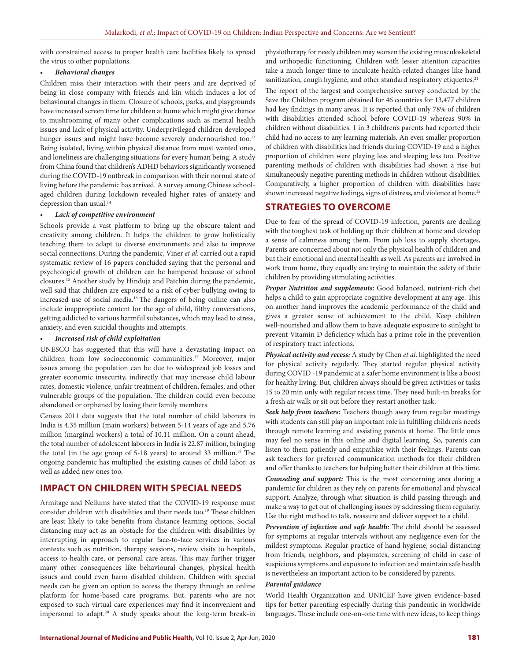with constrained access to proper health care facilities likely to spread the virus to other populations.

#### • *Behavioral changes*

Children miss their interaction with their peers and are deprived of being in close company with friends and kin which induces a lot of behavioural changes in them. Closure of schools, parks, and playgrounds have increased screen time for children at home which might give chance to mushrooming of many other complications such as mental health issues and lack of physical activity. Underprivileged children developed hunger issues and might have become severely undernourished too.<sup>13</sup> Being isolated, living within physical distance from most wanted ones, and loneliness are challenging situations for every human being. A study from China found that children's ADHD behaviors significantly worsened during the COVID-19 outbreak in comparison with their normal state of living before the pandemic has arrived. A survey among Chinese schoolaged children during lockdown revealed higher rates of anxiety and depression than usual.<sup>14</sup>

#### • *Lack of competitive environment*

Schools provide a vast platform to bring up the obscure talent and creativity among children. It helps the children to grow holistically teaching them to adapt to diverse environments and also to improve social connections. During the pandemic, Viner *et al*. carried out a rapid systematic review of 16 papers concluded saying that the personal and psychological growth of children can be hampered because of school closures.15 Another study by Hinduja and Patchin during the pandemic, well said that children are exposed to a risk of cyber bullying owing to increased use of social media.16 The dangers of being online can also include inappropriate content for the age of child, filthy conversations, getting addicted to various harmful substances, which may lead to stress, anxiety, and even suicidal thoughts and attempts.

#### • *Increased risk of child exploitation*

UNESCO has suggested that this will have a devastating impact on children from low socioeconomic communities.17 Moreover, major issues among the population can be due to widespread job losses and greater economic insecurity, indirectly that may increase child labour rates, domestic violence, unfair treatment of children, females, and other vulnerable groups of the population. The children could even become abandoned or orphaned by losing their family members.

Census 2011 data suggests that the total number of child laborers in India is 4.35 million (main workers) between 5-14 years of age and 5.76 million (marginal workers) a total of 10.11 million. On a count ahead, the total number of adolescent laborers in India is 22.87 million, bringing the total (in the age group of 5-18 years) to around 33 million.<sup>18</sup> The ongoing pandemic has multiplied the existing causes of child labor, as well as added new ones too.

## **IMPACT ON CHILDREN WITH SPECIAL NEEDS**

Armitage and Nellums have stated that the COVID-19 response must consider children with disabilities and their needs too.<sup>19</sup> These children are least likely to take benefits from distance learning options. Social distancing may act as an obstacle for the children with disabilities by interrupting in approach to regular face-to-face services in various contexts such as nutrition, therapy sessions, review visits to hospitals, access to health care, or personal care areas. This may further trigger many other consequences like behavioural changes, physical health issues and could even harm disabled children. Children with special needs can be given an option to access the therapy through an online platform for home-based care programs. But, parents who are not exposed to such virtual care experiences may find it inconvenient and impersonal to adapt.20 A study speaks about the long-term break-in

physiotherapy for needy children may worsen the existing musculoskeletal and orthopedic functioning. Children with lesser attention capacities take a much longer time to inculcate health-related changes like hand sanitization, cough hygiene, and other standard respiratory etiquettes.<sup>21</sup>

The report of the largest and comprehensive survey conducted by the Save the Children program obtained for 46 countries for 13,477 children had key findings in many areas. It is reported that only 78% of children with disabilities attended school before COVID-19 whereas 90% in children without disabilities. 1 in 3 children's parents had reported their child had no access to any learning materials. An even smaller proportion of children with disabilities had friends during COVID-19 and a higher proportion of children were playing less and sleeping less too. Positive parenting methods of children with disabilities had shown a rise but simultaneously negative parenting methods in children without disabilities. Comparatively, a higher proportion of children with disabilities have shown increased negative feelings, signs of distress, and violence at home.<sup>22</sup>

## **STRATEGIES TO OVERCOME**

Due to fear of the spread of COVID-19 infection, parents are dealing with the toughest task of holding up their children at home and develop a sense of calmness among them. From job loss to supply shortages, Parents are concerned about not only the physical health of children and but their emotional and mental health as well. As parents are involved in work from home, they equally are trying to maintain the safety of their children by providing stimulating activities.

*Proper Nutrition and supplements:* Good balanced, nutrient-rich diet helps a child to gain appropriate cognitive development at any age. This on another hand improves the academic performance of the child and gives a greater sense of achievement to the child. Keep children well-nourished and allow them to have adequate exposure to sunlight to prevent Vitamin D deficiency which has a prime role in the prevention of respiratory tract infections.

*Physical activity and recess:* A study by Chen *et al*. highlighted the need for physical activity regularly. They started regular physical activity during COVID -19 pandemic at a safer home environment is like a boost for healthy living. But, children always should be given activities or tasks 15 to 20 min only with regular recess time. They need built-in breaks for a fresh air walk or sit out before they restart another task.

*Seek help from teachers:* Teachers though away from regular meetings with students can still play an important role in fulfilling children's needs through remote learning and assisting parents at home. The little ones may feel no sense in this online and digital learning. So, parents can listen to them patiently and empathize with their feelings. Parents can ask teachers for preferred communication methods for their children and offer thanks to teachers for helping better their children at this time.

*Counseling and support:* This is the most concerning area during a pandemic for children as they rely on parents for emotional and physical support. Analyze, through what situation is child passing through and make a way to get out of challenging issues by addressing them regularly. Use the right method to talk, reassure and deliver support to a child.

*Prevention of infection and safe health:* The child should be assessed for symptoms at regular intervals without any negligence even for the mildest symptoms. Regular practice of hand hygiene, social distancing from friends, neighbors, and playmates, screening of child in case of suspicious symptoms and exposure to infection and maintain safe health is nevertheless an important action to be considered by parents.

#### *Parental guidance*

World Health Organization and UNICEF have given evidence-based tips for better parenting especially during this pandemic in worldwide languages. These include one-on-one time with new ideas, to keep things